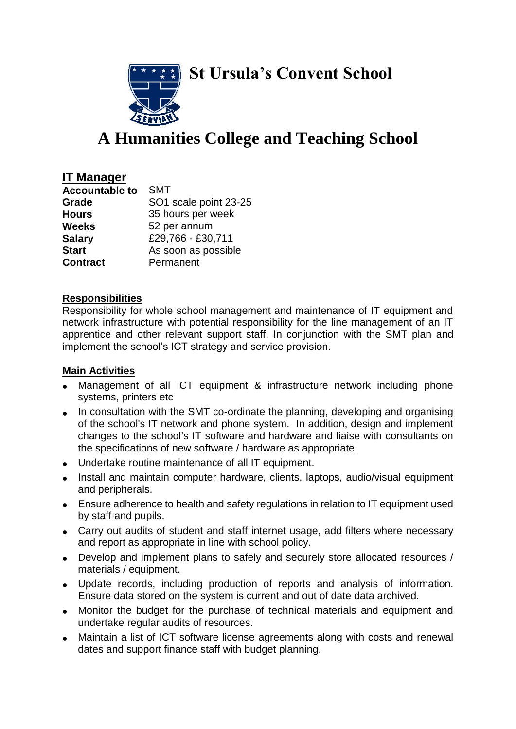**St Ursula's Convent School**



# **A Humanities College and Teaching School**

## **IT Manager**

| <b>Accountable to</b> | <b>SMT</b>            |
|-----------------------|-----------------------|
| Grade                 | SO1 scale point 23-25 |
| <b>Hours</b>          | 35 hours per week     |
| <b>Weeks</b>          | 52 per annum          |
| <b>Salary</b>         | £29,766 - £30,711     |
| <b>Start</b>          | As soon as possible   |
| <b>Contract</b>       | Permanent             |

#### **Responsibilities**

Responsibility for whole school management and maintenance of IT equipment and network infrastructure with potential responsibility for the line management of an IT apprentice and other relevant support staff. In conjunction with the SMT plan and implement the school's ICT strategy and service provision.

### **Main Activities**

- Management of all ICT equipment & infrastructure network including phone systems, printers etc
- In consultation with the SMT co-ordinate the planning, developing and organising of the school's IT network and phone system. In addition, design and implement changes to the school's IT software and hardware and liaise with consultants on the specifications of new software / hardware as appropriate.
- Undertake routine maintenance of all IT equipment.
- Install and maintain computer hardware, clients, laptops, audio/visual equipment and peripherals.
- Ensure adherence to health and safety regulations in relation to IT equipment used by staff and pupils.
- Carry out audits of student and staff internet usage, add filters where necessary and report as appropriate in line with school policy.
- Develop and implement plans to safely and securely store allocated resources / materials / equipment.
- Update records, including production of reports and analysis of information. Ensure data stored on the system is current and out of date data archived.
- Monitor the budget for the purchase of technical materials and equipment and undertake regular audits of resources.
- Maintain a list of ICT software license agreements along with costs and renewal dates and support finance staff with budget planning.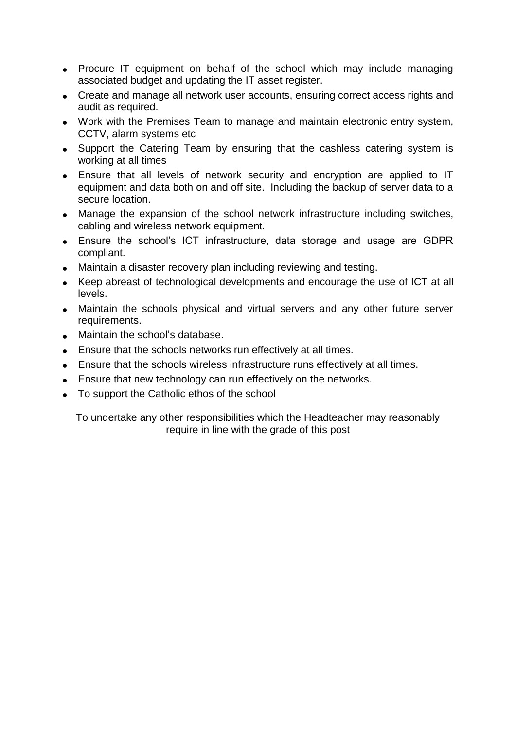- Procure IT equipment on behalf of the school which may include managing associated budget and updating the IT asset register.
- Create and manage all network user accounts, ensuring correct access rights and audit as required.
- Work with the Premises Team to manage and maintain electronic entry system, CCTV, alarm systems etc
- Support the Catering Team by ensuring that the cashless catering system is working at all times
- Ensure that all levels of network security and encryption are applied to IT equipment and data both on and off site. Including the backup of server data to a secure location.
- Manage the expansion of the school network infrastructure including switches, cabling and wireless network equipment.
- Ensure the school's ICT infrastructure, data storage and usage are GDPR compliant.
- Maintain a disaster recovery plan including reviewing and testing.
- Keep abreast of technological developments and encourage the use of ICT at all levels.
- Maintain the schools physical and virtual servers and any other future server requirements.
- Maintain the school's database.
- **Ensure that the schools networks run effectively at all times.**
- Ensure that the schools wireless infrastructure runs effectively at all times.
- **Ensure that new technology can run effectively on the networks.**
- To support the Catholic ethos of the school

To undertake any other responsibilities which the Headteacher may reasonably require in line with the grade of this post